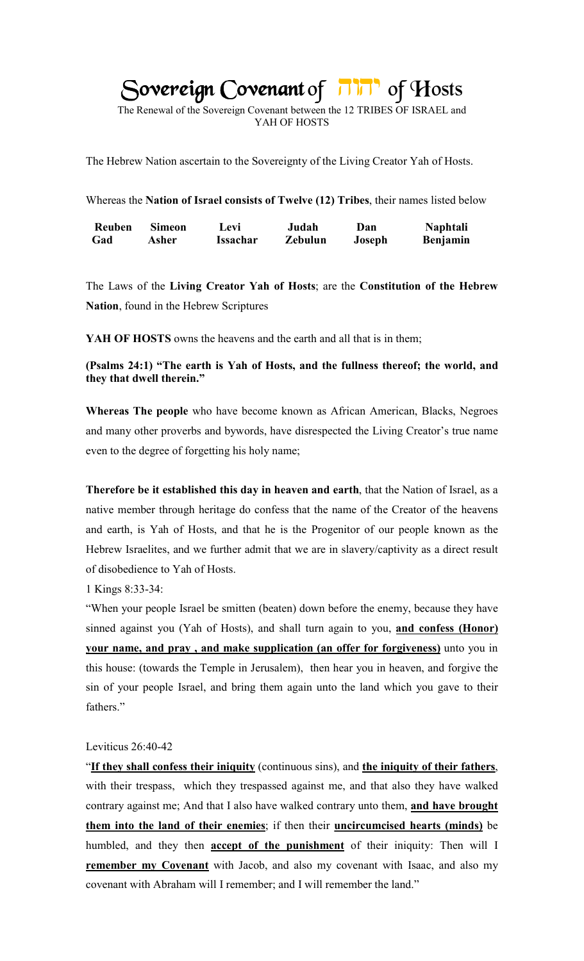# *Sovereign Covenant* of *ninity of Hosts*

The Renewal of the Sovereign Covenant between the 12 TRIBES OF ISRAEL and YAH OF HOSTS

The Hebrew Nation ascertain to the Sovereignty of the Living Creator Yah of Hosts.

Whereas the **Nation of Israel consists of Twelve (12) Tribes**, their names listed below

| Reuben | <b>Simeon</b> | Levi     | Judah   | Dan    | <b>Naphtali</b> |
|--------|---------------|----------|---------|--------|-----------------|
| Gad    | Asher         | Issachar | Zebulun | Joseph | <b>Benjamin</b> |

The Laws of the **Living Creator Yah of Hosts**; are the **Constitution of the Hebrew Nation**, found in the Hebrew Scriptures

**YAH OF HOSTS** owns the heavens and the earth and all that is in them;

**(Psalms 24:1) "The earth is Yah of Hosts, and the fullness thereof; the world, and they that dwell therein."**

**Whereas The people** who have become known as African American, Blacks, Negroes and many other proverbs and bywords, have disrespected the Living Creator's true name even to the degree of forgetting his holy name;

**Therefore be it established this day in heaven and earth**, that the Nation of Israel, as a native member through heritage do confess that the name of the Creator of the heavens and earth, is Yah of Hosts, and that he is the Progenitor of our people known as the Hebrew Israelites, and we further admit that we are in slavery/captivity as a direct result of disobedience to Yah of Hosts.

1 Kings 8:33-34:

"When your people Israel be smitten (beaten) down before the enemy, because they have sinned against you (Yah of Hosts), and shall turn again to you, **and confess (Honor) your name, and pray , and make supplication (an offer for forgiveness)** unto you in this house: (towards the Temple in Jerusalem), then hear you in heaven, and forgive the sin of your people Israel, and bring them again unto the land which you gave to their fathers."

## Leviticus 26:40-42

"**If they shall confess their iniquity** (continuous sins), and **the iniquity of their fathers**, with their trespass, which they trespassed against me, and that also they have walked contrary against me; And that I also have walked contrary unto them, **and have brought them into the land of their enemies**; if then their **uncircumcised hearts (minds)** be humbled, and they then **accept of the punishment** of their iniquity: Then will I **remember my Covenant** with Jacob, and also my covenant with Isaac, and also my covenant with Abraham will I remember; and I will remember the land."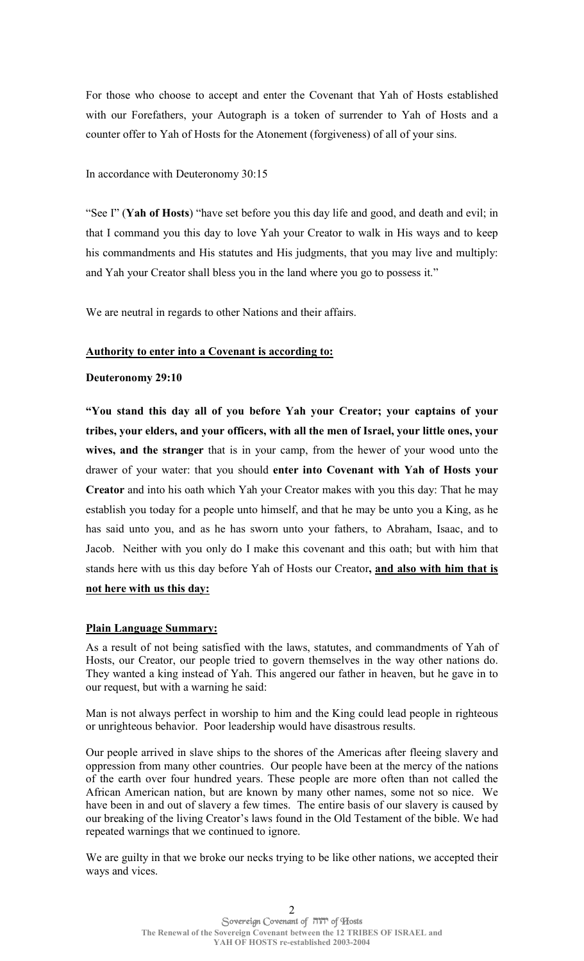For those who choose to accept and enter the Covenant that Yah of Hosts established with our Forefathers, your Autograph is a token of surrender to Yah of Hosts and a counter offer to Yah of Hosts for the Atonement (forgiveness) of all of your sins.

## In accordance with Deuteronomy 30:15

"See I" (**Yah of Hosts**) "have set before you this day life and good, and death and evil; in that I command you this day to love Yah your Creator to walk in His ways and to keep his commandments and His statutes and His judgments, that you may live and multiply: and Yah your Creator shall bless you in the land where you go to possess it."

We are neutral in regards to other Nations and their affairs.

## **Authority to enter into a Covenant is according to:**

## **Deuteronomy 29:10**

**"You stand this day all of you before Yah your Creator; your captains of your tribes, your elders, and your officers, with all the men of Israel, your little ones, your wives, and the stranger** that is in your camp, from the hewer of your wood unto the drawer of your water: that you should **enter into Covenant with Yah of Hosts your Creator** and into his oath which Yah your Creator makes with you this day: That he may establish you today for a people unto himself, and that he may be unto you a King, as he has said unto you, and as he has sworn unto your fathers, to Abraham, Isaac, and to Jacob. Neither with you only do I make this covenant and this oath; but with him that stands here with us this day before Yah of Hosts our Creator**, and also with him that is not here with us this day:** 

# **Plain Language Summary:**

As a result of not being satisfied with the laws, statutes, and commandments of Yah of Hosts, our Creator, our people tried to govern themselves in the way other nations do. They wanted a king instead of Yah. This angered our father in heaven, but he gave in to our request, but with a warning he said:

Man is not always perfect in worship to him and the King could lead people in righteous or unrighteous behavior. Poor leadership would have disastrous results.

Our people arrived in slave ships to the shores of the Americas after fleeing slavery and oppression from many other countries. Our people have been at the mercy of the nations of the earth over four hundred years. These people are more often than not called the African American nation, but are known by many other names, some not so nice. We have been in and out of slavery a few times. The entire basis of our slavery is caused by our breaking of the living Creator's laws found in the Old Testament of the bible. We had repeated warnings that we continued to ignore.

We are guilty in that we broke our necks trying to be like other nations, we accepted their ways and vices.